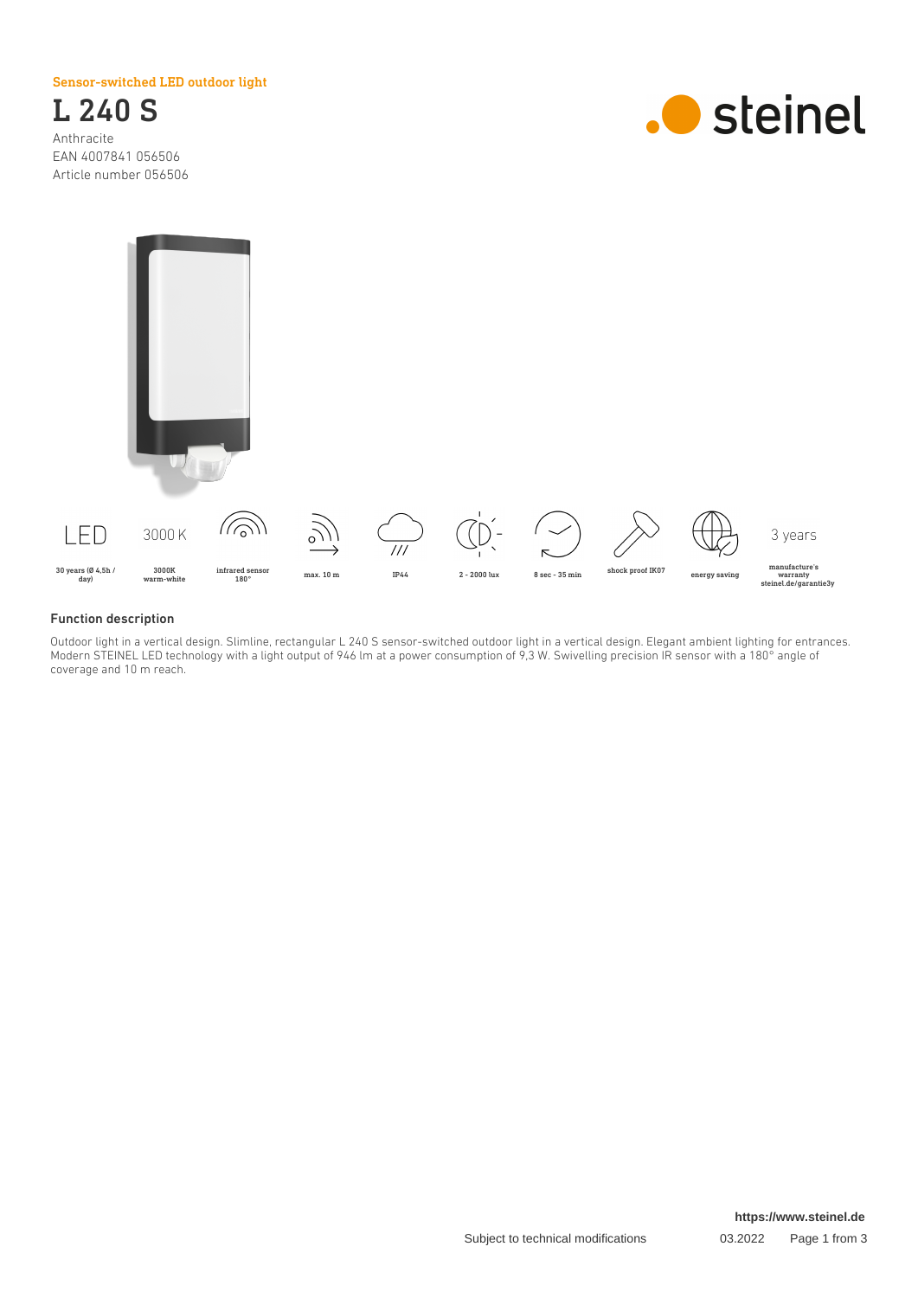Sensor-switched LED outdoor light



EAN 4007841 056506 Article number 056506





### Function description

Outdoor light in a vertical design. Slimline, rectangular L 240 S sensor-switched outdoor light in a vertical design. Elegant ambient lighting for entrances. Modern STEINEL LED technology with a light output of 946 lm at a power consumption of 9,3 W. Swivelling precision IR sensor with a 180° angle of coverage and 10 m reach.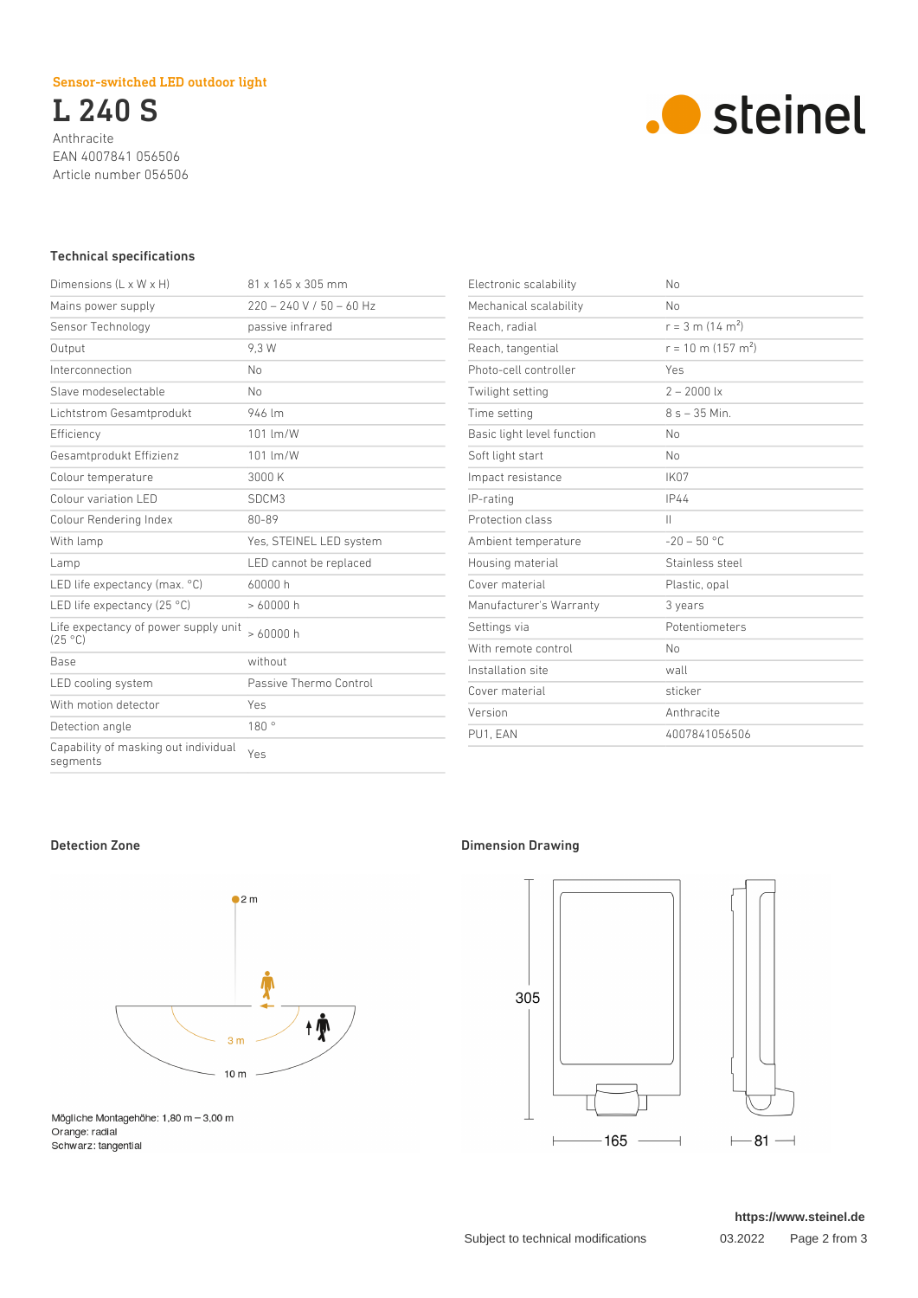## Sensor-switched LED outdoor light

L 240 S Anthracite EAN 4007841 056506 Article number 056506



## Technical specifications

| 81 x 165 x 305 mm          |
|----------------------------|
| $220 - 240$ V / 50 - 60 Hz |
| passive infrared           |
| 9.3 W                      |
| No                         |
| No                         |
| 946 lm                     |
| 101 lm/W                   |
| 101 lm/W                   |
| 3000 K                     |
| SDCM3                      |
| 80-89                      |
| Yes, STEINEL LED system    |
| LED cannot be replaced     |
| 60000 h                    |
| >60000h                    |
| >60000h                    |
| without                    |
| Passive Thermo Control     |
| Yes                        |
| 180°                       |
| Yes                        |
|                            |

| Electronic scalability     | No                               |
|----------------------------|----------------------------------|
| Mechanical scalability     | No                               |
| Reach, radial              | $r = 3$ m (14 m <sup>2</sup> )   |
| Reach, tangential          | $r = 10$ m (157 m <sup>2</sup> ) |
| Photo-cell controller      | Yes                              |
| Twilight setting           | $2 - 2000$ lx                    |
| Time setting               | $8s - 35$ Min.                   |
| Basic light level function | No                               |
| Soft light start           | No                               |
| Impact resistance          | IK07                             |
| IP-rating                  | IP44                             |
| Protection class           | $\mathsf{II}$                    |
| Ambient temperature        | $-20 - 50$ °C                    |
| Housing material           | Stainless steel                  |
| Cover material             | Plastic, opal                    |
| Manufacturer's Warranty    | 3 years                          |
| Settings via               | Potentiometers                   |
| With remote control        | No                               |
| Installation site          | wall                             |
| Cover material             | sticker                          |
| Version                    | Anthracite                       |
| PU1. EAN                   | 4007841056506                    |



Mögliche Montagehöhe:  $1,80$  m  $-3,00$  m Orange: radial Schwarz: tangential

## Detection Zone **Dimension Drawing**